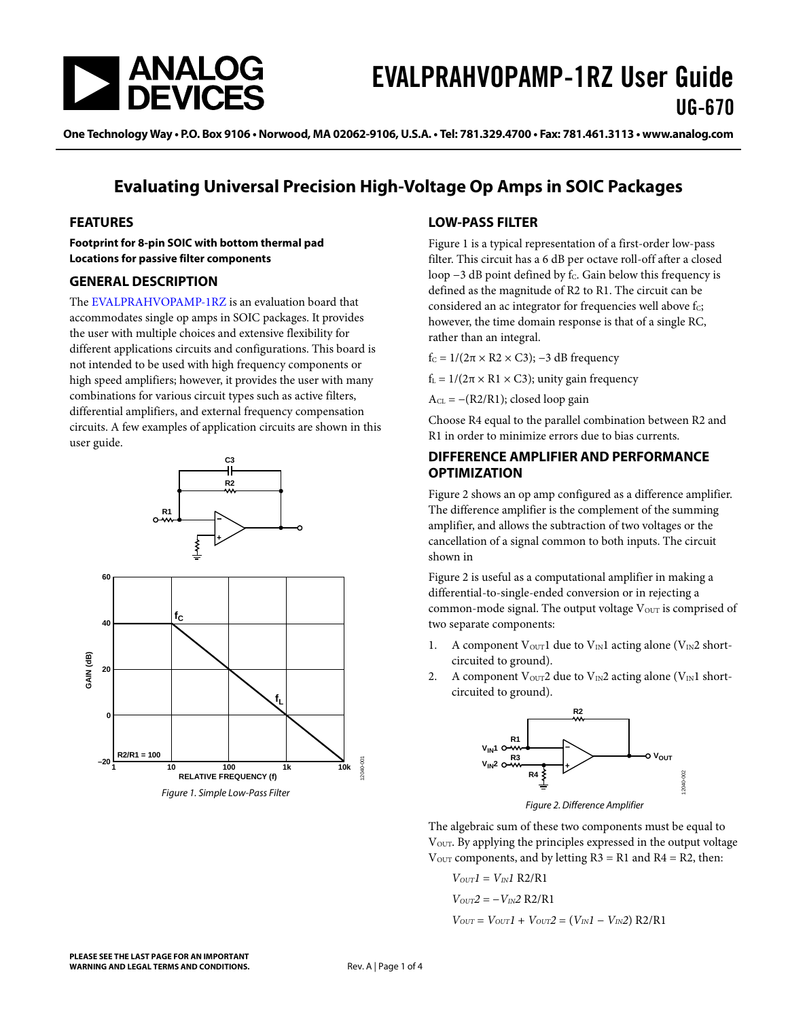

One Technology Way . P.O. Box 9106 . Norwood, MA 02062-9106, U.S.A. . Tel: 781.329.4700 . Fax: 781.461.3113 . www.analog.com

### **Evaluating Universal Precision High-Voltage Op Amps in SOIC Packages**

#### **FEATURES**

**Footprint for 8-pin SOIC with bottom thermal pad Locations for passive filter components**

#### **GENERAL DESCRIPTION**

The [EVALPRAHVOPAMP-1RZ](http://analog.com/EVALPRAHVOPAMP?doc=EVALPRAHVOPAMP-1RZ_UG-670.pdf) is an evaluation board that accommodates single op amps in SOIC packages. It provides the user with multiple choices and extensive flexibility for different applications circuits and configurations. This board is not intended to be used with high frequency components or high speed amplifiers; however, it provides the user with many combinations for various circuit types such as active filters, differential amplifiers, and external frequency compensation circuits. A few examples of application circuits are shown in this user guide.

<span id="page-0-0"></span>

#### **LOW-PASS FILTER**

[Figure 1](#page-0-0) is a typical representation of a first-order low-pass filter. This circuit has a 6 dB per octave roll-off after a closed loop  $-3$  dB point defined by f $c$ . Gain below this frequency is defined as the magnitude of R2 to R1. The circuit can be considered an ac integrator for frequencies well above  $f_c$ ; however, the time domain response is that of a single RC, rather than an integral.

f<sub>C</sub> =  $1/(2\pi \times R2 \times C3)$ ; -3 dB frequency

 $f_L = 1/(2\pi \times R1 \times C3)$ ; unity gain frequency

 $A_{CL} = -(R2/R1)$ ; closed loop gain

Choose R4 equal to the parallel combination between R2 and R1 in order to minimize errors due to bias currents.

#### **DIFFERENCE AMPLIFIER AND PERFORMANCE OPTIMIZATION**

[Figure 2](#page-0-1) shows an op amp configured as a difference amplifier. The difference amplifier is the complement of the summing amplifier, and allows the subtraction of two voltages or the cancellation of a signal common to both inputs. The circuit shown in

[Figure 2](#page-0-1) is useful as a computational amplifier in making a differential-to-single-ended conversion or in rejecting a common-mode signal. The output voltage  $V<sub>OUT</sub>$  is comprised of two separate components:

- 1. A component  $V_{\text{OUT}}$ 1 due to  $V_{\text{IN}}$ 1 acting alone ( $V_{\text{IN}}$ 2 shortcircuited to ground).
- 2. A component Vour2 due to V<sub>IN</sub>2 acting alone (V<sub>IN</sub>1 shortcircuited to ground).



*Figure 2. Difference Amplifier*

<span id="page-0-1"></span>The algebraic sum of these two components must be equal to V<sub>OUT</sub>. By applying the principles expressed in the output voltage  $V_{\text{OUT}}$  components, and by letting R3 = R1 and R4 = R2, then:

$$
V_{OUT}I = V_{IN}I R2/R1
$$
  
\n
$$
V_{OUT}2 = -V_{IN}2 R2/R1
$$
  
\n
$$
V_{OUT} = V_{OUT}I + V_{OUT}2 = (V_{IN}I - V_{IN}2) R2/R1
$$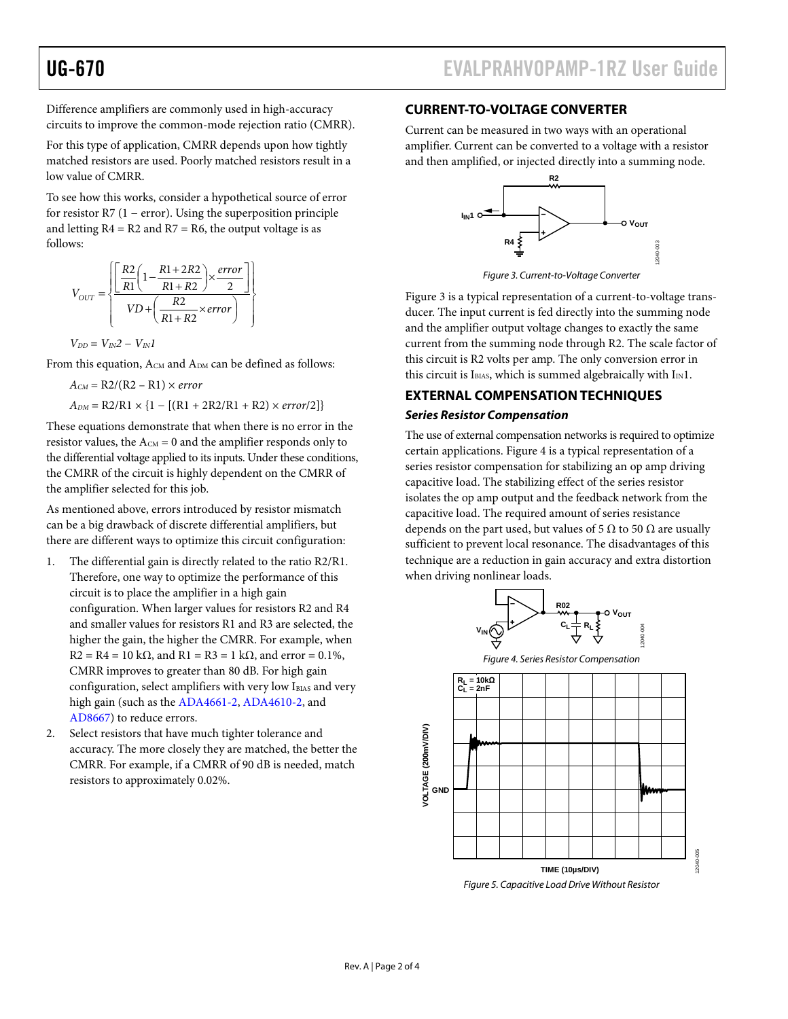Difference amplifiers are commonly used in high-accuracy circuits to improve the common-mode rejection ratio (CMRR).

For this type of application, CMRR depends upon how tightly matched resistors are used. Poorly matched resistors result in a low value of CMRR.

To see how this works, consider a hypothetical source of error for resistor R7 (1 − error). Using the superposition principle and letting  $R4 = R2$  and  $R7 = R6$ , the output voltage is as follows:

$$
V_{OUT} = \left\{ \frac{\left[\frac{R2}{R1}\left(1 - \frac{R1 + 2R2}{R1 + R2}\right) \times \frac{error}{2}\right]}{VD + \left(\frac{R2}{R1 + R2} \times error\right)}\right\}
$$

 $V_{DD} = V_{IN}2 - V_{IN}1$ 

From this equation,  $A_{CM}$  and  $A_{DM}$  can be defined as follows:

 $A_{CM} = R2/(R2 - R1) \times error$  $A_{DM} = R2/R1 \times \{1 - [(R1 + 2R2/R1 + R2) \times error/2]\}$ 

These equations demonstrate that when there is no error in the resistor values, the  $A_{CM} = 0$  and the amplifier responds only to the differential voltage applied to its inputs. Under these conditions, the CMRR of the circuit is highly dependent on the CMRR of the amplifier selected for this job.

As mentioned above, errors introduced by resistor mismatch can be a big drawback of discrete differential amplifiers, but there are different ways to optimize this circuit configuration:

- 1. The differential gain is directly related to the ratio R2/R1. Therefore, one way to optimize the performance of this circuit is to place the amplifier in a high gain configuration. When larger values for resistors R2 and R4 and smaller values for resistors R1 and R3 are selected, the higher the gain, the higher the CMRR. For example, when  $R2 = R4 = 10 \text{ k}\Omega$ , and  $R1 = R3 = 1 \text{ k}\Omega$ , and error = 0.1%, CMRR improves to greater than 80 dB. For high gain configuration, select amplifiers with very low IBIAS and very high gain (such as th[e ADA4661-2,](http://analog.com/ADA4661-2?doc=EVALPRAHVOPAMP_1RZ_UG-670.pdf) [ADA4610-2,](http://analog.com/ADA4610-2?doc=EVALPRAHVOPAMP-1RZ_UG-670.pdf) and [AD8667\)](http://analog.com/AD8667?doc=EVALPRAHVOPAMP-1RZ_UG-670.pdf) to reduce errors.
- 2. Select resistors that have much tighter tolerance and accuracy. The more closely they are matched, the better the CMRR. For example, if a CMRR of 90 dB is needed, match resistors to approximately 0.02%.

#### **CURRENT-TO-VOLTAGE CONVERTER**

Current can be measured in two ways with an operational amplifier. Current can be converted to a voltage with a resistor and then amplified, or injected directly into a summing node.



*Figure 3. Current-to-Voltage Converter*

<span id="page-1-0"></span>[Figure 3](#page-1-0) is a typical representation of a current-to-voltage transducer. The input current is fed directly into the summing node and the amplifier output voltage changes to exactly the same current from the summing node through R2. The scale factor of this circuit is R2 volts per amp. The only conversion error in this circuit is IBIAS, which is summed algebraically with  $I_{IN}1$ .

#### **EXTERNAL COMPENSATION TECHNIQUES**

#### *Series Resistor Compensation*

The use of external compensation networks is required to optimize certain applications[. Figure 4](#page-1-1) is a typical representation of a series resistor compensation for stabilizing an op amp driving capacitive load. The stabilizing effect of the series resistor isolates the op amp output and the feedback network from the capacitive load. The required amount of series resistance depends on the part used, but values of 5  $\Omega$  to 50  $\Omega$  are usually sufficient to prevent local resonance. The disadvantages of this technique are a reduction in gain accuracy and extra distortion when driving nonlinear loads.

<span id="page-1-1"></span>

*Figure 5. Capacitive Load Drive Without Resistor*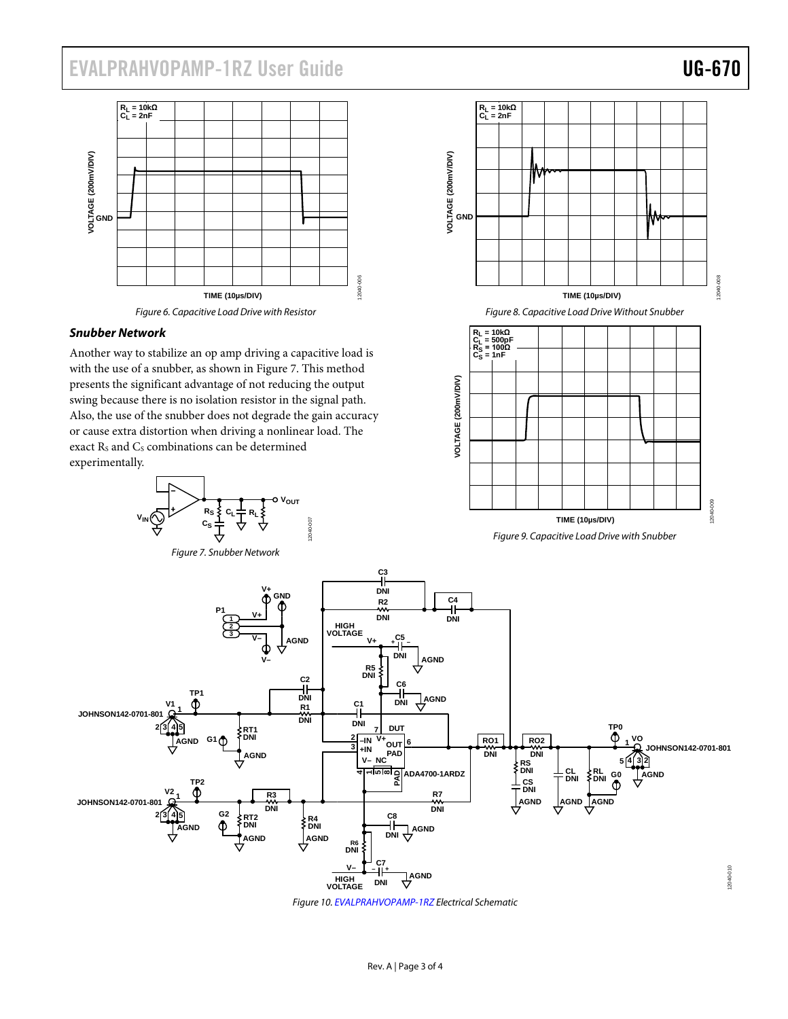# EVALPRAHVOPAMP-1RZ User Guide Valley Contract Contract Contract Contract Contract Contract Contract Contract Contract Contract Contract Contract Contract Contract Contract Contract Contract Contract Contract Contract Contr



#### *Snubber Network*

Another way to stabilize an op amp driving a capacitive load is with the use of a snubber, as shown i[n Figure 7.](#page-2-0) This method presents the significant advantage of not reducing the output swing because there is no isolation resistor in the signal path. Also, the use of the snubber does not degrade the gain accuracy or cause extra distortion when driving a nonlinear load. The exact Rs and Cs combinations can be determined experimentally.



VOLTAGE (200mV/DIV)<br><u>O</u><br>D **VOLTAGE (200mV/DIV) TIME (10µs/DIV)** *Figure 8. Capacitive Load Drive Without Snubber* **R<sub>L</sub> = 10kΩ<br>C<sub>L</sub> = 500pF<br>R<sub>S</sub> = 100Ω<br>C<sub>S</sub> = 1nF** VOLTAGE (200mV/DIV) **VOLTAGE (200mV/DIV)** PO0-009 12040-009

**RL = 10kΩ CL = 2nF**

**TIME (10µs/DIV)** *Figure 9. Capacitive Load Drive with Snubber*

<span id="page-2-0"></span>

*Figure 10. [EVALPRAHVOPAMP-1RZ](http://analog.com/EVALPRAHVOPAMP?doc=EVALPRAHVOPAMP-1RZ_UG-670.pdf) Electrical Schematic*

12040-008

2040-008